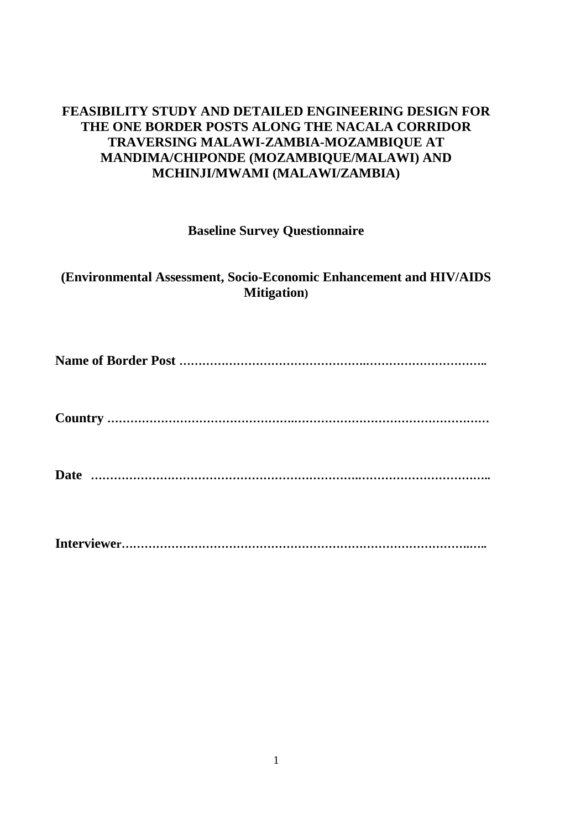# **FEASIBILITY STUDY AND DETAILED ENGINEERING DESIGN FOR THE ONE BORDER POSTS ALONG THE NACALA CORRIDOR TRAVERSING MALAWI-ZAMBIA-MOZAMBIQUE AT MANDIMA/CHIPONDE (MOZAMBIQUE/MALAWI) AND MCHINJI/MWAMI (MALAWI/ZAMBIA)**

## **Baseline Survey Questionnaire**

## **(Environmental Assessment, Socio-Economic Enhancement and HIV/AIDS Mitigation)**

**Name of Border Post ………………………………………….…………………………..** 

**Country ………………………………………….……………………………………………**

**Date …………………………………………………………….……………………………..** 

**Interviewer……………………………………………………………………………….…..**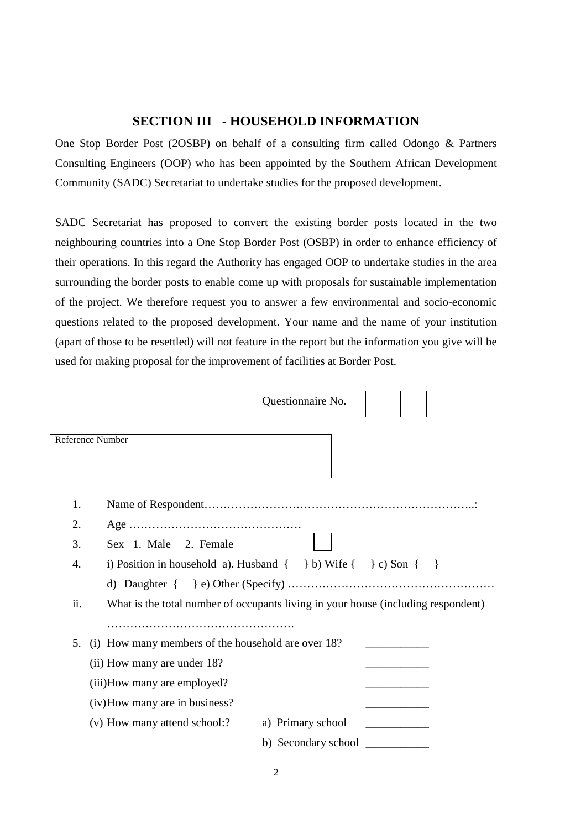## **SECTION III - HOUSEHOLD INFORMATION**

One Stop Border Post (2OSBP) on behalf of a consulting firm called Odongo & Partners Consulting Engineers (OOP) who has been appointed by the Southern African Development Community (SADC) Secretariat to undertake studies for the proposed development.

SADC Secretariat has proposed to convert the existing border posts located in the two neighbouring countries into a One Stop Border Post (OSBP) in order to enhance efficiency of their operations. In this regard the Authority has engaged OOP to undertake studies in the area surrounding the border posts to enable come up with proposals for sustainable implementation of the project. We therefore request you to answer a few environmental and socio-economic questions related to the proposed development. Your name and the name of your institution (apart of those to be resettled) will not feature in the report but the information you give will be used for making proposal for the improvement of facilities at Border Post.

|     |                                                                                   | Questionnaire No.          |  |
|-----|-----------------------------------------------------------------------------------|----------------------------|--|
|     | Reference Number                                                                  |                            |  |
| 1.  |                                                                                   |                            |  |
| 2.  |                                                                                   |                            |  |
| 3.  | Sex 1. Male 2. Female                                                             |                            |  |
| 4.  | i) Position in household a). Husband $\{\}$ b) Wife $\{\}$ c) Son $\{\}$          |                            |  |
|     |                                                                                   |                            |  |
| ii. | What is the total number of occupants living in your house (including respondent) |                            |  |
|     |                                                                                   |                            |  |
| 5.  | (i) How many members of the household are over 18?                                |                            |  |
|     | (ii) How many are under 18?                                                       |                            |  |
|     | (iii)How many are employed?                                                       |                            |  |
|     | (iv) How many are in business?                                                    |                            |  |
|     | (v) How many attend school:?                                                      | a) Primary school          |  |
|     |                                                                                   | b) Secondary school $\_\_$ |  |
|     |                                                                                   |                            |  |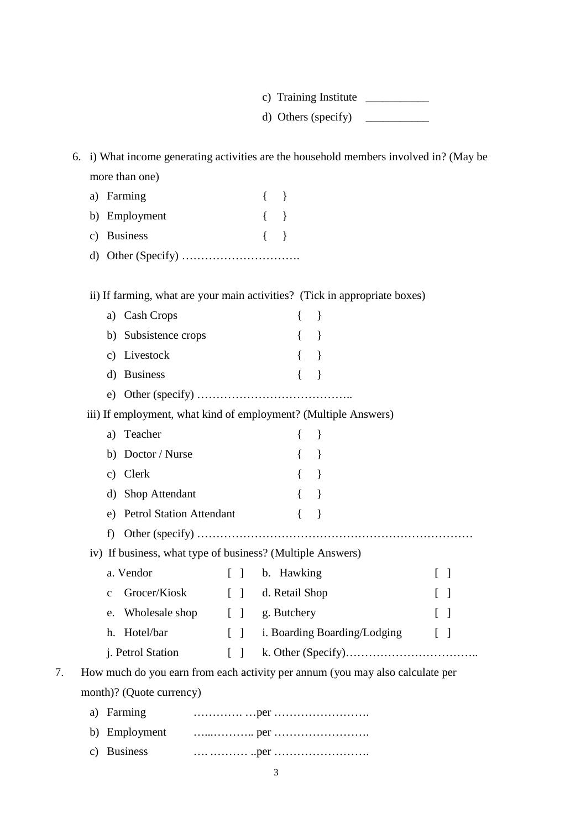c) Training Institute

d) Others (specify)  $\qquad \qquad \qquad$ 

6. i) What income generating activities are the household members involved in? (May be more than one)

| a) Farming    | $\left\{ \begin{array}{c} \end{array} \right.$ |  |
|---------------|------------------------------------------------|--|
| b) Employment | $\{\quad\}$                                    |  |
| c) Business   | $\{\quad\}$                                    |  |
|               |                                                |  |

ii) If farming, what are your main activities? (Tick in appropriate boxes)

|    | <b>Cash Crops</b><br>a)               |                                   | ∤                                                                             |                   |
|----|---------------------------------------|-----------------------------------|-------------------------------------------------------------------------------|-------------------|
|    | b) Subsistence crops                  |                                   |                                                                               |                   |
|    | c) Livestock                          |                                   | $\mathcal{L}_{\mathcal{L}}$                                                   |                   |
|    | d) Business                           |                                   | $\}$                                                                          |                   |
|    |                                       |                                   |                                                                               |                   |
|    |                                       |                                   | iii) If employment, what kind of employment? (Multiple Answers)               |                   |
|    | a) Teacher                            |                                   | $\{$<br>$\}$                                                                  |                   |
|    | b) Doctor / Nurse                     |                                   | $\mathcal{F}$                                                                 |                   |
|    | Clerk<br>c)                           |                                   | $\mathcal{L}$<br>$\{$                                                         |                   |
|    | d) Shop Attendant                     |                                   | $\mathcal{E}$                                                                 |                   |
|    | <b>Petrol Station Attendant</b><br>e) |                                   | $\{$                                                                          |                   |
|    | f)                                    |                                   |                                                                               |                   |
|    |                                       |                                   | iv) If business, what type of business? (Multiple Answers)                    |                   |
|    | a. Vendor                             | $\Box$                            | b. Hawking                                                                    | $\lceil$ $\rceil$ |
|    | Grocer/Kiosk<br>$\mathbf{C}$          |                                   | [ ] d. Retail Shop                                                            |                   |
|    | Wholesale shop<br>e.                  |                                   | [ ] g. Butchery                                                               |                   |
|    | h. Hotel/bar                          | $\begin{bmatrix} 1 \end{bmatrix}$ | i. Boarding Boarding/Lodging                                                  | $\Box$            |
|    | j. Petrol Station                     | $\begin{bmatrix} \end{bmatrix}$   |                                                                               |                   |
| 7. |                                       |                                   | How much do you earn from each activity per annum (you may also calculate per |                   |
|    | month)? (Quote currency)              |                                   |                                                                               |                   |
|    | Farming<br>a)                         |                                   |                                                                               |                   |
|    | b) Employment                         |                                   |                                                                               |                   |

| c) Business |  |
|-------------|--|
|             |  |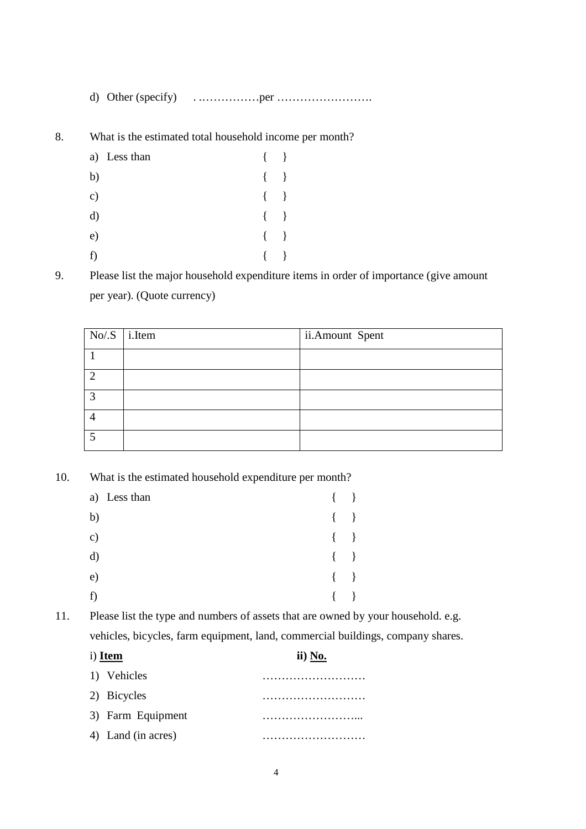d) Other (specify) . .……………per …………………….

8. What is the estimated total household income per month?

|               | a) Less than | $\{ \quad \}$     |                   |
|---------------|--------------|-------------------|-------------------|
| b)            |              | $\{$              | $\left\{\right\}$ |
| $\mathbf{c})$ |              | $\left\{ \right.$ | $\{\}$            |
| d)            |              | $\left\{ \right.$ | $\left\{\right\}$ |
| e)            |              | $\left\{ \right.$ | $\left\{\right\}$ |
| f)            |              |                   |                   |

9. Please list the major household expenditure items in order of importance (give amount per year). (Quote currency)

| $No/S$ <i>i.Item</i> | ii.Amount Spent |
|----------------------|-----------------|
|                      |                 |
|                      |                 |
| ◠                    |                 |
|                      |                 |
|                      |                 |

10. What is the estimated household expenditure per month?

|    | a) Less than | $\{\quad\}$ |  |
|----|--------------|-------------|--|
| b) |              | $\{\quad\}$ |  |
| c) |              | $\{\quad\}$ |  |
| d) |              | $\{\quad\}$ |  |
| e) |              | $\{\quad\}$ |  |
| f  |              | $\{\quad\}$ |  |

11. Please list the type and numbers of assets that are owned by your household. e.g. vehicles, bicycles, farm equipment, land, commercial buildings, company shares.

| ii) No. |  |  |
|---------|--|--|
|         |  |  |
|         |  |  |
|         |  |  |
|         |  |  |
|         |  |  |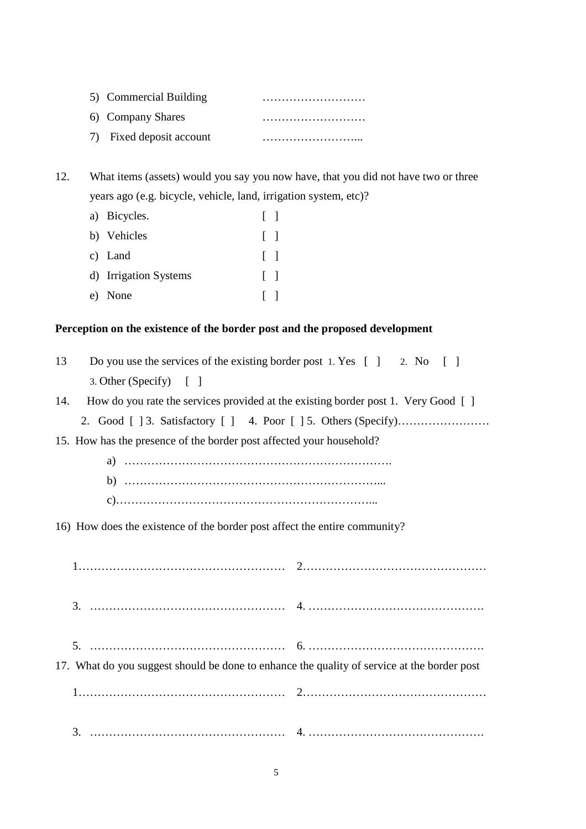| 5) Commercial Building   |  |
|--------------------------|--|
| 6) Company Shares        |  |
| 7) Fixed deposit account |  |

12. What items (assets) would you say you now have, that you did not have two or three years ago (e.g. bicycle, vehicle, land, irrigation system, etc)?

| a) Bicycles.          | $\Box$       |  |
|-----------------------|--------------|--|
| b) Vehicles           | $\mathbf{1}$ |  |
| c) Land               | $\perp$      |  |
| d) Irrigation Systems | $\perp$      |  |
| e) None               | $\mathbf{1}$ |  |

#### **Perception on the existence of the border post and the proposed development**

| 13 | Do you use the services of the existing border post 1. Yes $\begin{bmatrix} 1 & 2 \\ 2 & 5 \end{bmatrix}$ [1 |  |
|----|--------------------------------------------------------------------------------------------------------------|--|
|    | 3. Other (Specify) $\begin{bmatrix} \end{bmatrix}$                                                           |  |
|    |                                                                                                              |  |

|  |  |  |  | 14. How do you rate the services provided at the existing border post 1. Very Good [] |  |  |  |
|--|--|--|--|---------------------------------------------------------------------------------------|--|--|--|
|--|--|--|--|---------------------------------------------------------------------------------------|--|--|--|

|--|--|--|--|--|--|

15. How has the presence of the border post affected your household?

a) ……………………………………………………………. b) …………………………………………………………...

c)…………………………………………………………...

16) How does the existence of the border post affect the entire community?

| 17. What do you suggest should be done to enhance the quality of service at the border post |  |
|---------------------------------------------------------------------------------------------|--|
|                                                                                             |  |
| 3.                                                                                          |  |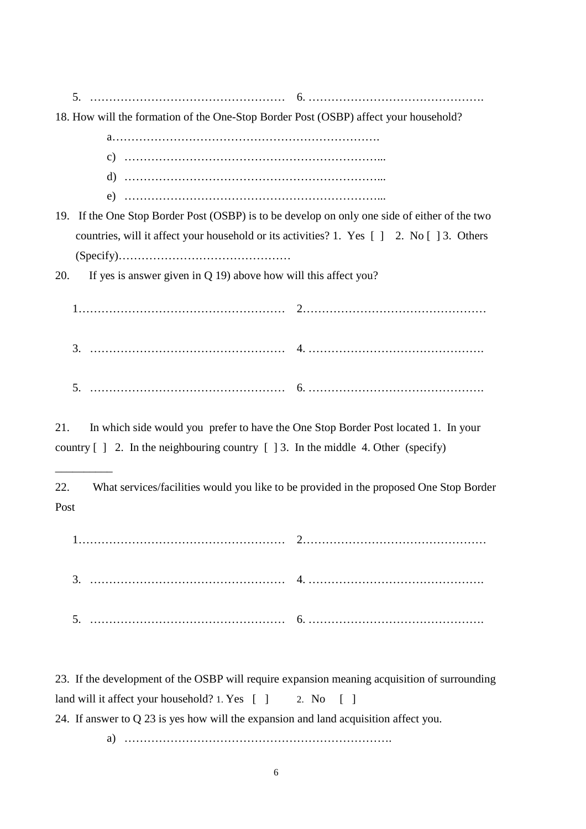|--|

18. How will the formation of the One-Stop Border Post (OSBP) affect your household?

a…………………………………………………………….

- c) …………………………………………………………...
- d) …………………………………………………………...
- e) …………………………………………………………...
- 19. If the One Stop Border Post (OSBP) is to be develop on only one side of either of the two countries, will it affect your household or its activities? 1. Yes [ ] 2. No [ ] 3. Others (Specify)………………………………………

20. If yes is answer given in Q 19) above how will this affect you?

\_\_\_\_\_\_\_\_\_\_

1……………………………………………… 2………………………………………… 3. …………………………………………… 4. ………………………………………. 5. …………………………………………… 6. ……………………………………….

21. In which side would you prefer to have the One Stop Border Post located 1. In your country  $\lceil 1 \rceil$  2. In the neighbouring country  $\lceil 13 \rceil$ . In the middle 4. Other (specify)

22. What services/facilities would you like to be provided in the proposed One Stop Border Post

1……………………………………………… 2………………………………………… 3. …………………………………………… 4. ………………………………………. 5. …………………………………………… 6. ……………………………………….

23. If the development of the OSBP will require expansion meaning acquisition of surrounding land will it affect your household? 1. Yes [ ] 2. No [ ] 24. If answer to Q 23 is yes how will the expansion and land acquisition affect you. a) …………………………………………………………….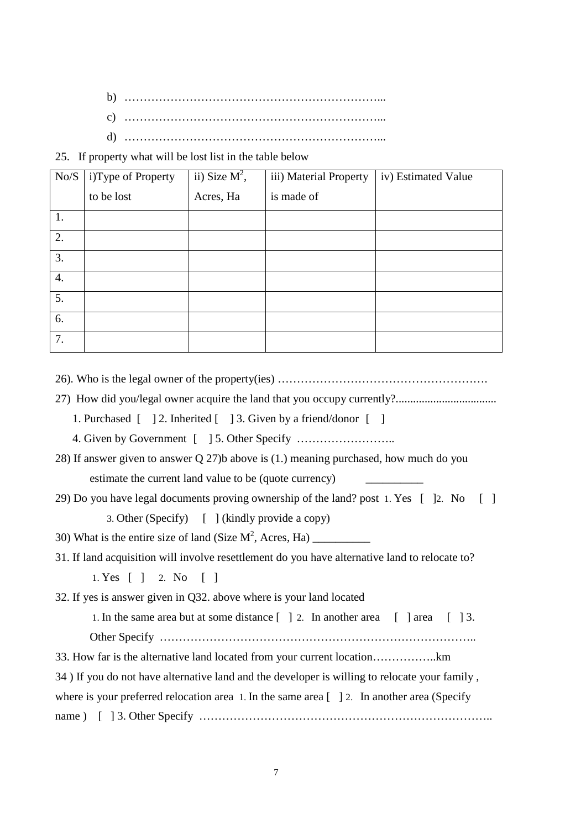- b) …………………………………………………………... c) …………………………………………………………...
- d) …………………………………………………………...

25. If property what will be lost list in the table below

| No/S | i)Type of Property | ii) Size $M^2$ , | iii) Material Property | iv) Estimated Value |
|------|--------------------|------------------|------------------------|---------------------|
|      | to be lost         | Acres, Ha        | is made of             |                     |
| 1.   |                    |                  |                        |                     |
| 2.   |                    |                  |                        |                     |
| 3.   |                    |                  |                        |                     |
| 4.   |                    |                  |                        |                     |
| 5.   |                    |                  |                        |                     |
| 6.   |                    |                  |                        |                     |
| 7.   |                    |                  |                        |                     |

26). Who is the legal owner of the property(ies) ……………………………………………….

- 27) How did you/legal owner acquire the land that you occupy currently?...................................
	- 1. Purchased  $\begin{bmatrix} 2. \text{Inherited } \end{bmatrix}$  3. Given by a friend/donor  $\begin{bmatrix} 1 \end{bmatrix}$

4. Given by Government [ ] 5. Other Specify ……………………..

- 28) If answer given to answer Q 27)b above is (1.) meaning purchased, how much do you estimate the current land value to be (quote currency)
- 29) Do you have legal documents proving ownership of the land? post 1. Yes [ ]2. No [ ] 3. Other (Specify) [ ] (kindly provide a copy)

30) What is the entire size of land (Size M<sup>2</sup> , Acres, Ha) \_\_\_\_\_\_\_\_\_\_

31. If land acquisition will involve resettlement do you have alternative land to relocate to?

1. Yes [ ] 2. No [ ]

32. If yes is answer given in Q32. above where is your land located

1. In the same area but at some distance  $\begin{bmatrix} 1 & 2 \\ 2 & 2 \end{bmatrix}$  another area  $\begin{bmatrix} 1 & 3 \\ 0 & 3 \end{bmatrix}$ 

Other Specify ………………………………………………………………………..

33. How far is the alternative land located from your current location……………..km

34 ) If you do not have alternative land and the developer is willing to relocate your family ,

where is your preferred relocation area 1. In the same area  $[$  ] 2. In another area (Specify

name ) [ ] 3. Other Specify …………………………………………………………………..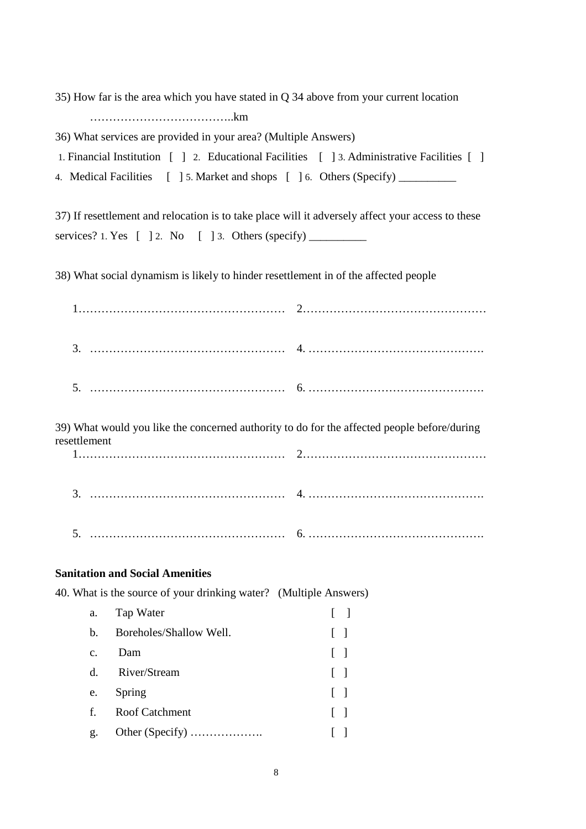35) How far is the area which you have stated in Q 34 above from your current location ………………………………..km

36) What services are provided in your area? (Multiple Answers)

1. Financial Institution [ ] 2. Educational Facilities [ ] 3. Administrative Facilities [ ]

4. Medical Facilities [ ] 5. Market and shops [ ] 6. Others (Specify) \_\_\_\_\_\_\_\_\_\_

37) If resettlement and relocation is to take place will it adversely affect your access to these services? 1. Yes  $\begin{bmatrix} 1 & 2 \\ 0 & 1 \end{bmatrix}$  2. No  $\begin{bmatrix} 1 & 3 \\ 0 & 3 \end{bmatrix}$  Others (specify)

38) What social dynamism is likely to hinder resettlement in of the affected people

| resettlement   |                                                                   | 39) What would you like the concerned authority to do for the affected people before/during |
|----------------|-------------------------------------------------------------------|---------------------------------------------------------------------------------------------|
|                |                                                                   |                                                                                             |
| 5.             |                                                                   |                                                                                             |
|                | <b>Sanitation and Social Amenities</b>                            |                                                                                             |
|                | 40. What is the source of your drinking water? (Multiple Answers) |                                                                                             |
| a.             | Tap Water                                                         |                                                                                             |
| $\mathbf b$ .  | Boreholes/Shallow Well.                                           |                                                                                             |
| $\mathbf{c}$ . | Dam                                                               |                                                                                             |
| $d_{\cdot}$    | River/Stream                                                      |                                                                                             |
| e.             | Spring                                                            |                                                                                             |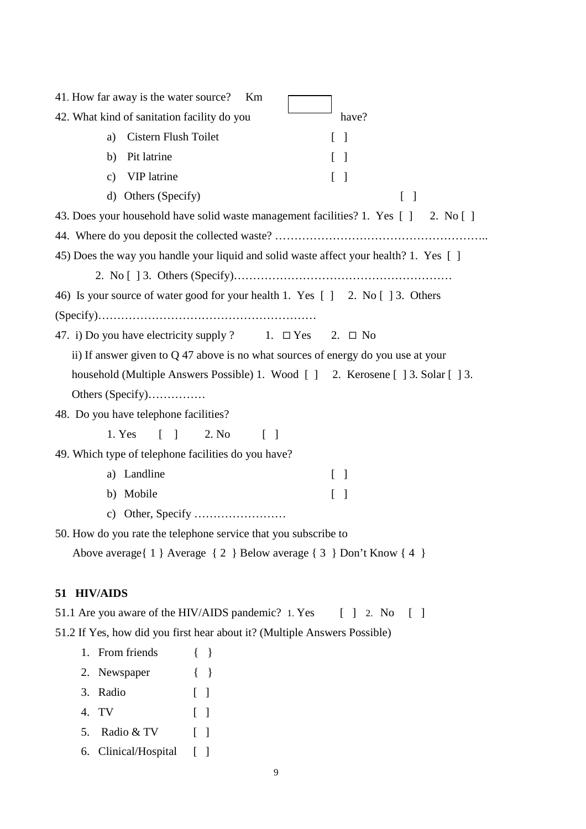| 41. How far away is the water source?<br>Km                                                                     |
|-----------------------------------------------------------------------------------------------------------------|
| have?<br>42. What kind of sanitation facility do you                                                            |
| Cistern Flush Toilet<br>$\lceil \; \rceil$<br>a)                                                                |
| Pit latrine<br>b)                                                                                               |
| VIP latrine<br>$\mathbf{c})$<br>$[\ ]$                                                                          |
| Others (Specify)<br>$\rm d)$<br>$[\ ]$                                                                          |
| 43. Does your household have solid waste management facilities? 1. Yes [ ] 2. No [ ]                            |
|                                                                                                                 |
| 45) Does the way you handle your liquid and solid waste affect your health? 1. Yes []                           |
|                                                                                                                 |
| 46) Is your source of water good for your health 1. Yes [ ] 2. No [ ] 3. Others                                 |
|                                                                                                                 |
| 47. i) Do you have electricity supply ? 1. $\Box$ Yes 2. $\Box$ No                                              |
| ii) If answer given to $Q$ 47 above is no what sources of energy do you use at your                             |
| household (Multiple Answers Possible) 1. Wood [ ] 2. Kerosene [ ] 3. Solar [ ] 3.                               |
| Others (Specify)                                                                                                |
| 48. Do you have telephone facilities?                                                                           |
|                                                                                                                 |
| 1. Yes<br>2. No<br>$\begin{bmatrix} 1 \end{bmatrix}$<br>$[\ ]$                                                  |
| 49. Which type of telephone facilities do you have?                                                             |
| a) Landline<br>$\begin{bmatrix} \end{bmatrix}$                                                                  |
| b) Mobile<br>$\lceil \; \rceil$                                                                                 |
| $\mathbf{c})$                                                                                                   |
| 50. How do you rate the telephone service that you subscribe to                                                 |
| Above average { 1 } Average { 2 } Below average { 3 } Don't Know { 4 }                                          |
|                                                                                                                 |
| 51 HIV/AIDS                                                                                                     |
| 51.1 Are you aware of the HIV/AIDS pandemic? 1. Yes<br>$\begin{bmatrix} 1 & 2 \\ 2 & 0 \end{bmatrix}$<br>$\Box$ |
| 51.2 If Yes, how did you first hear about it? (Multiple Answers Possible)                                       |
| 1. From friends<br>$\{\quad\}$                                                                                  |
| 2. Newspaper<br>$\{ \quad \}$                                                                                   |
| 3. Radio<br>$\lceil \; \rceil$                                                                                  |
| TV<br>4.<br>$\lceil \; \rceil$                                                                                  |
| Radio & TV<br>5.<br>$\lceil$ $\rceil$                                                                           |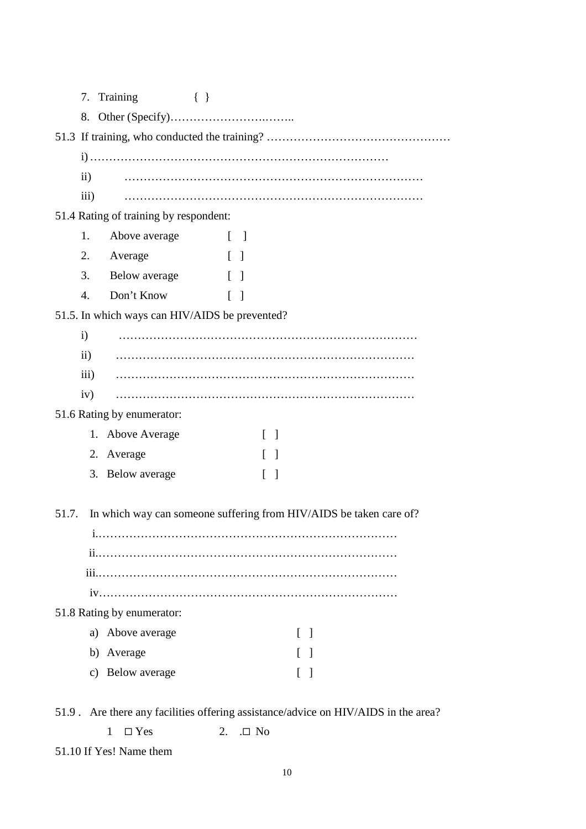|                 | 7. Training<br>$\{\quad\}$             |                                                                    |
|-----------------|----------------------------------------|--------------------------------------------------------------------|
|                 |                                        |                                                                    |
|                 |                                        |                                                                    |
|                 |                                        |                                                                    |
| $\mathbf{ii}$ ) |                                        |                                                                    |
| iii)            |                                        |                                                                    |
|                 | 51.4 Rating of training by respondent: |                                                                    |
| 1.              | Above average                          | $\begin{bmatrix} 1 & 1 \\ 1 & 1 \end{bmatrix}$                     |
| 2.              | Average                                | $\Box$                                                             |
| 3.              | Below average                          | $\Box$                                                             |
| 4.              | Don't Know                             | $\begin{bmatrix} 1 & 1 \\ 1 & 1 \end{bmatrix}$                     |
|                 |                                        | 51.5. In which ways can HIV/AIDS be prevented?                     |
| $\mathbf{i}$    |                                        |                                                                    |
| $\mathbf{ii}$ ) |                                        |                                                                    |
| iii)            |                                        |                                                                    |
| iv)             |                                        |                                                                    |
|                 | 51.6 Rating by enumerator:             |                                                                    |
|                 | 1. Above Average                       | $\lceil \ \rceil$                                                  |
|                 | 2. Average                             | $\Box$                                                             |
|                 | 3. Below average                       | $\lceil \rceil$                                                    |
|                 |                                        |                                                                    |
| 51.7.           |                                        | In which way can someone suffering from HIV/AIDS be taken care of? |
|                 |                                        |                                                                    |
|                 |                                        |                                                                    |
|                 |                                        |                                                                    |
|                 |                                        |                                                                    |
|                 | 51.8 Rating by enumerator:             |                                                                    |
|                 | a) Above average                       | $\Box$                                                             |
|                 | b) Average                             |                                                                    |
|                 | c) Below average                       |                                                                    |
|                 |                                        |                                                                    |

51.9 . Are there any facilities offering assistance/advice on HIV/AIDS in the area?

| $1 \square Yes$ | 2. $\Box$ No |  |
|-----------------|--------------|--|
|-----------------|--------------|--|

51.10 If Yes! Name them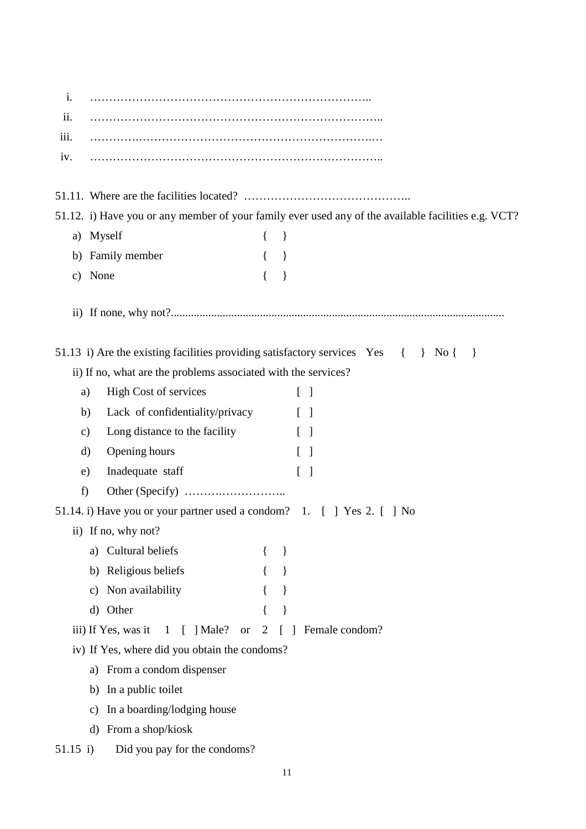| i.            |                                                                        |                |                                                                                                     |
|---------------|------------------------------------------------------------------------|----------------|-----------------------------------------------------------------------------------------------------|
| ii.           |                                                                        |                |                                                                                                     |
| iii.          |                                                                        |                |                                                                                                     |
| iv.           |                                                                        |                |                                                                                                     |
|               |                                                                        |                |                                                                                                     |
|               |                                                                        |                |                                                                                                     |
|               |                                                                        |                | 51.12. i) Have you or any member of your family ever used any of the available facilities e.g. VCT? |
|               | a) Myself                                                              | $\{$           | $\}$                                                                                                |
|               | b) Family member                                                       |                |                                                                                                     |
|               | c) None                                                                |                |                                                                                                     |
|               |                                                                        |                |                                                                                                     |
|               |                                                                        |                |                                                                                                     |
|               |                                                                        |                | 51.13 i) Are the existing facilities providing satisfactory services $Yes \{ \} No \{$<br>$\{\}$    |
|               | ii) If no, what are the problems associated with the services?         |                |                                                                                                     |
| a)            | High Cost of services                                                  |                | $\lceil \; \rceil$                                                                                  |
| b)            | Lack of confidentiality/privacy                                        |                | $\lceil \; \rceil$                                                                                  |
|               | Long distance to the facility                                          |                | $\lceil$ $\rceil$                                                                                   |
| $\mathbf{c})$ |                                                                        |                |                                                                                                     |
| $\rm d)$      | Opening hours                                                          |                | $\lceil$ $\rceil$                                                                                   |
| e)            | Inadequate staff                                                       |                | $\begin{bmatrix} 1 \end{bmatrix}$                                                                   |
| f)            |                                                                        |                |                                                                                                     |
|               | 51.14. i) Have you or your partner used a condom? 1. [ ] Yes 2. [ ] No |                |                                                                                                     |
|               | ii) If no, why not?                                                    |                |                                                                                                     |
|               | a) Cultural beliefs                                                    |                |                                                                                                     |
|               | Religious beliefs<br>b)                                                |                |                                                                                                     |
|               | Non availability<br>$\mathbf{c})$                                      |                |                                                                                                     |
|               | d) Other                                                               |                |                                                                                                     |
|               | iii) If Yes, was it<br>$[$ ] Male?<br>$\mathbf{1}$<br><b>or</b>        | $\overline{2}$ | Female condom?<br>L                                                                                 |
|               | iv) If Yes, where did you obtain the condoms?                          |                |                                                                                                     |
|               | From a condom dispenser<br>a)                                          |                |                                                                                                     |
|               | In a public toilet<br>b)                                               |                |                                                                                                     |
|               | In a boarding/lodging house<br>$\mathbf{c})$                           |                |                                                                                                     |
|               | From a shop/kiosk<br>$\rm d$                                           |                |                                                                                                     |
| 51.15 i)      | Did you pay for the condoms?                                           |                |                                                                                                     |